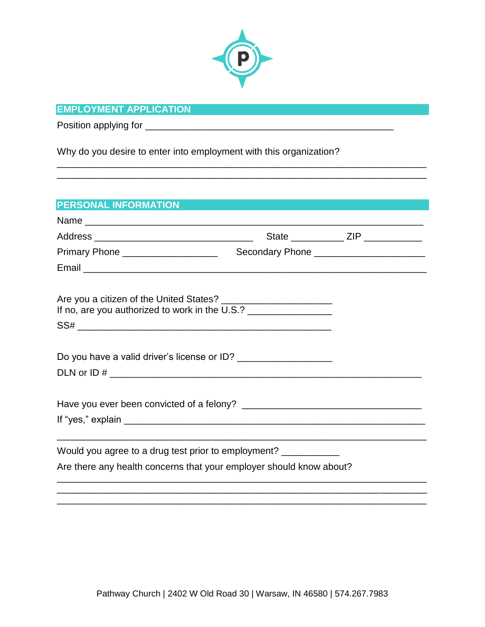

\_\_\_\_\_\_\_\_\_\_\_\_\_\_\_\_\_\_\_\_\_\_\_\_\_\_\_\_\_\_\_\_\_\_\_\_\_\_\_\_\_\_\_\_\_\_\_\_\_\_\_\_\_\_\_\_\_\_\_\_\_\_\_\_\_\_\_\_\_\_ \_\_\_\_\_\_\_\_\_\_\_\_\_\_\_\_\_\_\_\_\_\_\_\_\_\_\_\_\_\_\_\_\_\_\_\_\_\_\_\_\_\_\_\_\_\_\_\_\_\_\_\_\_\_\_\_\_\_\_\_\_\_\_\_\_\_\_\_\_\_

# **EMPLOYMENT APPLICATION**

Position applying for \_\_\_\_\_\_\_\_\_\_\_\_\_\_\_\_\_\_\_\_\_\_\_\_\_\_\_\_\_\_\_\_\_\_\_\_\_\_\_\_\_\_\_\_\_\_\_

Why do you desire to enter into employment with this organization?

| <b>PERSONAL INFORMATION</b>                                                      |                                             |  |
|----------------------------------------------------------------------------------|---------------------------------------------|--|
|                                                                                  |                                             |  |
|                                                                                  |                                             |  |
| Primary Phone ____________________                                               | Secondary Phone ___________________________ |  |
|                                                                                  |                                             |  |
| If no, are you authorized to work in the U.S.? _________________________________ |                                             |  |
|                                                                                  |                                             |  |
|                                                                                  |                                             |  |
|                                                                                  |                                             |  |
|                                                                                  |                                             |  |
|                                                                                  |                                             |  |
|                                                                                  |                                             |  |
|                                                                                  |                                             |  |
| Would you agree to a drug test prior to employment? ____________                 |                                             |  |
| Are there any health concerns that your employer should know about?              |                                             |  |
|                                                                                  |                                             |  |
|                                                                                  |                                             |  |